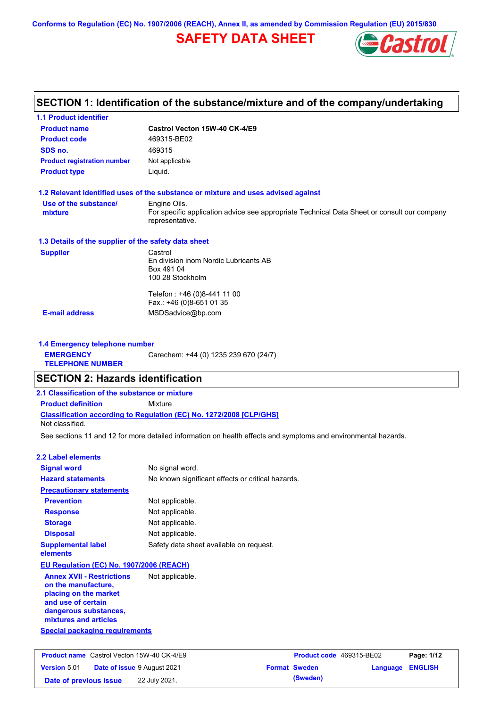## **SAFETY DATA SHEET**



#### **Castrol Vecton 15W-40 CK-4/E9 Product name 1.1 Product identifier 1.3 Details of the supplier of the safety data sheet Product type Liquid. E-mail address** MSDSadvice@bp.com **1.2 Relevant identified uses of the substance or mixture and uses advised against SECTION 1: Identification of the substance/mixture and of the company/undertaking Product code** 469315-BE02 **1.4 Emergency telephone number EMERGENCY TELEPHONE NUMBER** Carechem: +44 (0) 1235 239 670 (24/7) **Supplier** Castrol En division inom Nordic Lubricants AB Box 491 04 100 28 Stockholm Telefon : +46 (0)8-441 11 00 Fax.: +46 (0)8-651 01 35 **SDS no.** 469315 **Use of the substance/ mixture** Engine Oils. For specific application advice see appropriate Technical Data Sheet or consult our company representative. **Product registration number** Not applicable See sections 11 and 12 for more detailed information on health effects and symptoms and environmental hazards. **Classification according to Regulation (EC) No. 1272/2008 [CLP/GHS] SECTION 2: Hazards identification 2.1 Classification of the substance or mixture Product definition** Mixture **2.2 Label elements Signal word Hazard statements Prevention Precautionary statements Response Storage Disposal** No signal word. No known significant effects or critical hazards. Not applicable. Not applicable. Not applicable. Not applicable. **Supplemental label elements** Safety data sheet available on request. Not classified. **EU Regulation (EC) No. 1907/2006 (REACH)**

**Annex XVII - Restrictions on the manufacture, placing on the market and use of certain dangerous substances, mixtures and articles** Not applicable.

#### **Special packaging requirements**

|                        | <b>Product name</b> Castrol Vecton 15W-40 CK-4/E9 | <b>Product code</b> 469315-BE02 |                         | Page: 1/12 |
|------------------------|---------------------------------------------------|---------------------------------|-------------------------|------------|
| <b>Version 5.01</b>    | <b>Date of issue 9 August 2021</b>                | <b>Format Sweden</b>            | <b>Language ENGLISH</b> |            |
| Date of previous issue | 22 July 2021.                                     | (Sweden)                        |                         |            |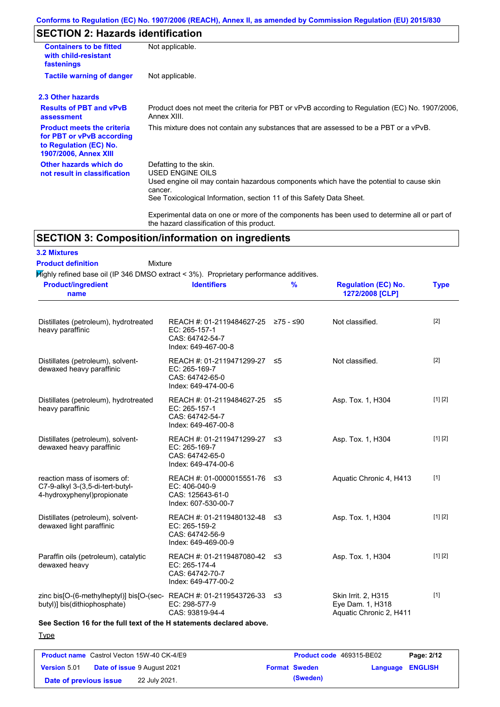## **SECTION 2: Hazards identification**

| <b>Containers to be fitted</b><br>with child-resistant<br>fastenings                                                     | Not applicable.                                                                                                                                                                                                                 |
|--------------------------------------------------------------------------------------------------------------------------|---------------------------------------------------------------------------------------------------------------------------------------------------------------------------------------------------------------------------------|
| <b>Tactile warning of danger</b>                                                                                         | Not applicable.                                                                                                                                                                                                                 |
| 2.3 Other hazards                                                                                                        |                                                                                                                                                                                                                                 |
| <b>Results of PBT and vPvB</b><br>assessment                                                                             | Product does not meet the criteria for PBT or vPvB according to Regulation (EC) No. 1907/2006,<br>Annex XIII.                                                                                                                   |
| <b>Product meets the criteria</b><br>for PBT or vPvB according<br>to Regulation (EC) No.<br><b>1907/2006, Annex XIII</b> | This mixture does not contain any substances that are assessed to be a PBT or a vPvB.                                                                                                                                           |
| Other hazards which do<br>not result in classification                                                                   | Defatting to the skin.<br><b>USED ENGINE OILS</b><br>Used engine oil may contain hazardous components which have the potential to cause skin<br>cancer.<br>See Toxicological Information, section 11 of this Safety Data Sheet. |
|                                                                                                                          | Experimental data on one or more of the components has been used to determine all or part of<br>the hazard classification of this product.                                                                                      |

### **SECTION 3: Composition/information on ingredients**

**3.2 Mixtures**

#### Mixture **Product definition**

Highly refined base oil (IP 346 DMSO extract < 3%). Proprietary performance additives.

| <b>Product/ingredient</b><br>name                                                                 | <b>Identifiers</b>                                                                             | $\frac{9}{6}$ | <b>Regulation (EC) No.</b><br>1272/2008 [CLP]                      | <b>Type</b> |
|---------------------------------------------------------------------------------------------------|------------------------------------------------------------------------------------------------|---------------|--------------------------------------------------------------------|-------------|
| Distillates (petroleum), hydrotreated<br>heavy paraffinic                                         | REACH #: 01-2119484627-25 ≥75 - ≤90<br>EC: 265-157-1<br>CAS: 64742-54-7<br>Index: 649-467-00-8 |               | Not classified.                                                    | $[2]$       |
| Distillates (petroleum), solvent-<br>dewaxed heavy paraffinic                                     | REACH #: 01-2119471299-27 ≤5<br>EC: 265-169-7<br>CAS: 64742-65-0<br>Index: 649-474-00-6        |               | Not classified.                                                    | $[2]$       |
| Distillates (petroleum), hydrotreated<br>heavy paraffinic                                         | REACH #: 01-2119484627-25 ≤5<br>EC: 265-157-1<br>CAS: 64742-54-7<br>Index: 649-467-00-8        |               | Asp. Tox. 1, H304                                                  | [1] [2]     |
| Distillates (petroleum), solvent-<br>dewaxed heavy paraffinic                                     | REACH #: 01-2119471299-27 ≤3<br>EC: 265-169-7<br>CAS: 64742-65-0<br>Index: 649-474-00-6        |               | Asp. Tox. 1, H304                                                  | [1] [2]     |
| reaction mass of isomers of:<br>C7-9-alkyl 3-(3,5-di-tert-butyl-<br>4-hydroxyphenyl)propionate    | REACH #: 01-0000015551-76 ≤3<br>EC: 406-040-9<br>CAS: 125643-61-0<br>Index: 607-530-00-7       |               | Aquatic Chronic 4, H413                                            | $[1]$       |
| Distillates (petroleum), solvent-<br>dewaxed light paraffinic                                     | REACH #: 01-2119480132-48 ≤3<br>EC: 265-159-2<br>CAS: 64742-56-9<br>Index: 649-469-00-9        |               | Asp. Tox. 1, H304                                                  | [1] [2]     |
| Paraffin oils (petroleum), catalytic<br>dewaxed heavy                                             | REACH #: 01-2119487080-42 ≤3<br>EC: 265-174-4<br>CAS: 64742-70-7<br>Index: 649-477-00-2        |               | Asp. Tox. 1, H304                                                  | [1] [2]     |
| zinc bis[O-(6-methylheptyl)] bis[O-(sec-REACH #: 01-2119543726-33<br>butyl)] bis(dithiophosphate) | EC: 298-577-9<br>CAS: 93819-94-4                                                               | -≤3           | Skin Irrit. 2, H315<br>Eye Dam. 1, H318<br>Aquatic Chronic 2, H411 | $[1]$       |

### **See Section 16 for the full text of the H statements declared above.**

**Type** 

| <b>Product name</b> Castrol Vecton 15W-40 CK-4/E9 |  |                                    | <b>Product code</b> 469315-BE02 |                         | Page: 2/12 |
|---------------------------------------------------|--|------------------------------------|---------------------------------|-------------------------|------------|
| <b>Version 5.01</b>                               |  | <b>Date of issue 9 August 2021</b> | <b>Format Sweden</b>            | <b>Language ENGLISH</b> |            |
| Date of previous issue                            |  | 22 July 2021.                      | (Sweden)                        |                         |            |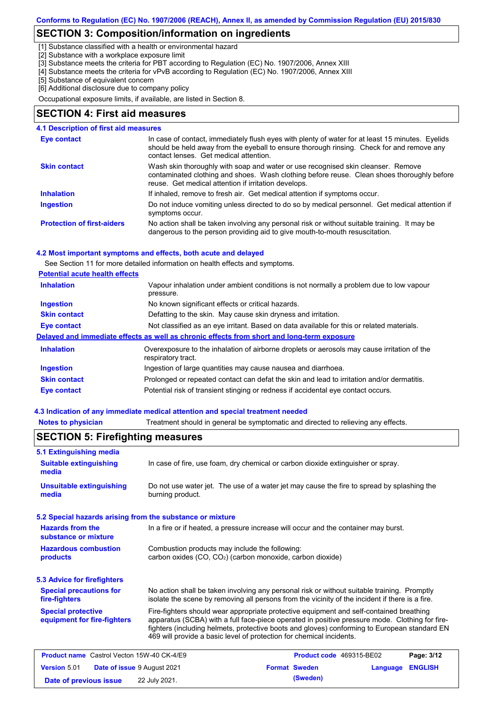### **SECTION 3: Composition/information on ingredients**

[1] Substance classified with a health or environmental hazard

[2] Substance with a workplace exposure limit

[3] Substance meets the criteria for PBT according to Regulation (EC) No. 1907/2006, Annex XIII

- [4] Substance meets the criteria for vPvB according to Regulation (EC) No. 1907/2006, Annex XIII
- [5] Substance of equivalent concern

[6] Additional disclosure due to company policy

Occupational exposure limits, if available, are listed in Section 8.

### **SECTION 4: First aid measures**

#### **4.1 Description of first aid measures**

| Eye contact                       | In case of contact, immediately flush eyes with plenty of water for at least 15 minutes. Eyelids<br>should be held away from the eyeball to ensure thorough rinsing. Check for and remove any<br>contact lenses. Get medical attention. |
|-----------------------------------|-----------------------------------------------------------------------------------------------------------------------------------------------------------------------------------------------------------------------------------------|
| <b>Skin contact</b>               | Wash skin thoroughly with soap and water or use recognised skin cleanser. Remove<br>contaminated clothing and shoes. Wash clothing before reuse. Clean shoes thoroughly before<br>reuse. Get medical attention if irritation develops.  |
| <b>Inhalation</b>                 | If inhaled, remove to fresh air. Get medical attention if symptoms occur.                                                                                                                                                               |
| <b>Ingestion</b>                  | Do not induce vomiting unless directed to do so by medical personnel. Get medical attention if<br>symptoms occur.                                                                                                                       |
| <b>Protection of first-aiders</b> | No action shall be taken involving any personal risk or without suitable training. It may be<br>dangerous to the person providing aid to give mouth-to-mouth resuscitation.                                                             |

#### **4.2 Most important symptoms and effects, both acute and delayed**

See Section 11 for more detailed information on health effects and symptoms.

#### **Potential acute health effects**

| <b>Inhalation</b>   | Vapour inhalation under ambient conditions is not normally a problem due to low vapour<br>pressure.               |  |  |
|---------------------|-------------------------------------------------------------------------------------------------------------------|--|--|
| <b>Ingestion</b>    | No known significant effects or critical hazards.                                                                 |  |  |
| <b>Skin contact</b> | Defatting to the skin. May cause skin dryness and irritation.                                                     |  |  |
| Eye contact         | Not classified as an eye irritant. Based on data available for this or related materials.                         |  |  |
|                     | Delayed and immediate effects as well as chronic effects from short and long-term exposure                        |  |  |
| <b>Inhalation</b>   | Overexposure to the inhalation of airborne droplets or aerosols may cause irritation of the<br>respiratory tract. |  |  |
| <b>Ingestion</b>    | Ingestion of large quantities may cause nausea and diarrhoea.                                                     |  |  |
| <b>Skin contact</b> | Prolonged or repeated contact can defat the skin and lead to irritation and/or dermatitis.                        |  |  |
| Eye contact         | Potential risk of transient stinging or redness if accidental eye contact occurs.                                 |  |  |

#### **4.3 Indication of any immediate medical attention and special treatment needed**

**Notes to physician** Treatment should in general be symptomatic and directed to relieving any effects.

#### No action shall be taken involving any personal risk or without suitable training. Promptly isolate the scene by removing all persons from the vicinity of the incident if there is a fire. **Hazardous combustion products Hazards from the substance or mixture** Combustion products may include the following: carbon oxides (CO, CO2) (carbon monoxide, carbon dioxide) In a fire or if heated, a pressure increase will occur and the container may burst. Fire-fighters should wear appropriate protective equipment and self-contained breathing apparatus (SCBA) with a full face-piece operated in positive pressure mode. Clothing for firefighters (including helmets, protective boots and gloves) conforming to European standard EN 469 will provide a basic level of protection for chemical incidents. **Special protective equipment for fire-fighters** In case of fire, use foam, dry chemical or carbon dioxide extinguisher or spray. **5.1 Extinguishing media** Do not use water jet. The use of a water jet may cause the fire to spread by splashing the burning product. **Suitable extinguishing media Unsuitable extinguishing media SECTION 5: Firefighting measures 5.2 Special hazards arising from the substance or mixture 5.3 Advice for firefighters Special precautions for fire-fighters Product name** Castrol Vecton 15W-40 CK-4/E9 **Product Code 469315-BE02 Page: 3/12 Version** 5.01 **Date of issue** 9 August 2021 **Format Sweden Language ENGLISH Date of previous issue** 22 July 2021. **(Sweden)** (Sweden)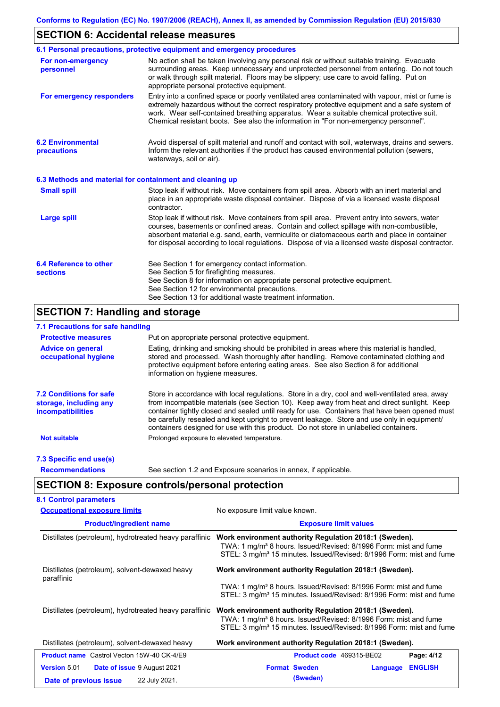### **SECTION 6: Accidental release measures**

|                                                          | 6.1 Personal precautions, protective equipment and emergency procedures                                                                                                                                                                                                                                                                                                                        |
|----------------------------------------------------------|------------------------------------------------------------------------------------------------------------------------------------------------------------------------------------------------------------------------------------------------------------------------------------------------------------------------------------------------------------------------------------------------|
| For non-emergency<br>personnel                           | No action shall be taken involving any personal risk or without suitable training. Evacuate<br>surrounding areas. Keep unnecessary and unprotected personnel from entering. Do not touch<br>or walk through spilt material. Floors may be slippery; use care to avoid falling. Put on<br>appropriate personal protective equipment.                                                            |
| For emergency responders                                 | Entry into a confined space or poorly ventilated area contaminated with vapour, mist or fume is<br>extremely hazardous without the correct respiratory protective equipment and a safe system of<br>work. Wear self-contained breathing apparatus. Wear a suitable chemical protective suit.<br>Chemical resistant boots. See also the information in "For non-emergency personnel".           |
| <b>6.2 Environmental</b><br>precautions                  | Avoid dispersal of spilt material and runoff and contact with soil, waterways, drains and sewers.<br>Inform the relevant authorities if the product has caused environmental pollution (sewers,<br>waterways, soil or air).                                                                                                                                                                    |
| 6.3 Methods and material for containment and cleaning up |                                                                                                                                                                                                                                                                                                                                                                                                |
| <b>Small spill</b>                                       | Stop leak if without risk. Move containers from spill area. Absorb with an inert material and<br>place in an appropriate waste disposal container. Dispose of via a licensed waste disposal<br>contractor.                                                                                                                                                                                     |
| <b>Large spill</b>                                       | Stop leak if without risk. Move containers from spill area. Prevent entry into sewers, water<br>courses, basements or confined areas. Contain and collect spillage with non-combustible,<br>absorbent material e.g. sand, earth, vermiculite or diatomaceous earth and place in container<br>for disposal according to local regulations. Dispose of via a licensed waste disposal contractor. |
| 6.4 Reference to other<br><b>sections</b>                | See Section 1 for emergency contact information.<br>See Section 5 for firefighting measures.<br>See Section 8 for information on appropriate personal protective equipment.<br>See Section 12 for environmental precautions.<br>See Section 13 for additional waste treatment information.                                                                                                     |

### **SECTION 7: Handling and storage**

### **7.1 Precautions for safe handling**

| <b>Protective measures</b>                                                           | Put on appropriate personal protective equipment.                                                                                                                                                                                                                                                                                                                                                                                                                                        |
|--------------------------------------------------------------------------------------|------------------------------------------------------------------------------------------------------------------------------------------------------------------------------------------------------------------------------------------------------------------------------------------------------------------------------------------------------------------------------------------------------------------------------------------------------------------------------------------|
| <b>Advice on general</b><br>occupational hygiene                                     | Eating, drinking and smoking should be prohibited in areas where this material is handled,<br>stored and processed. Wash thoroughly after handling. Remove contaminated clothing and<br>protective equipment before entering eating areas. See also Section 8 for additional<br>information on hygiene measures.                                                                                                                                                                         |
| <b>7.2 Conditions for safe</b><br>storage, including any<br><i>incompatibilities</i> | Store in accordance with local requiations. Store in a dry, cool and well-ventilated area, away<br>from incompatible materials (see Section 10). Keep away from heat and direct sunlight. Keep<br>container tightly closed and sealed until ready for use. Containers that have been opened must<br>be carefully resealed and kept upright to prevent leakage. Store and use only in equipment/<br>containers designed for use with this product. Do not store in unlabelled containers. |
| <b>Not suitable</b>                                                                  | Prolonged exposure to elevated temperature.                                                                                                                                                                                                                                                                                                                                                                                                                                              |
| 7.3 Specific end use(s)                                                              |                                                                                                                                                                                                                                                                                                                                                                                                                                                                                          |
| <b>Recommendations</b>                                                               | See section 1.2 and Exposure scenarios in annex, if applicable.                                                                                                                                                                                                                                                                                                                                                                                                                          |

## **SECTION 8: Exposure controls/personal protection**

| <b>Occupational exposure limits</b>                    | No exposure limit value known.<br><b>Exposure limit values</b>                                                                                                                                                             |  |  |  |  |
|--------------------------------------------------------|----------------------------------------------------------------------------------------------------------------------------------------------------------------------------------------------------------------------------|--|--|--|--|
| <b>Product/ingredient name</b>                         |                                                                                                                                                                                                                            |  |  |  |  |
| Distillates (petroleum), hydrotreated heavy paraffinic | Work environment authority Regulation 2018:1 (Sweden).<br>TWA: 1 mg/m <sup>3</sup> 8 hours. Issued/Revised: 8/1996 Form: mist and fume<br>STEL: 3 mg/m <sup>3</sup> 15 minutes. Issued/Revised: 8/1996 Form: mist and fume |  |  |  |  |
| Distillates (petroleum), solvent-dewaxed heavy         | Work environment authority Regulation 2018:1 (Sweden).                                                                                                                                                                     |  |  |  |  |
| paraffinic                                             | TWA: 1 mg/m <sup>3</sup> 8 hours. Issued/Revised: 8/1996 Form: mist and fume<br>STEL: 3 mg/m <sup>3</sup> 15 minutes. Issued/Revised: 8/1996 Form: mist and fume                                                           |  |  |  |  |
| Distillates (petroleum), hydrotreated heavy paraffinic | Work environment authority Regulation 2018:1 (Sweden).<br>TWA: 1 mg/m <sup>3</sup> 8 hours. Issued/Revised: 8/1996 Form: mist and fume<br>STEL: 3 mg/m <sup>3</sup> 15 minutes. Issued/Revised: 8/1996 Form: mist and fume |  |  |  |  |
| Distillates (petroleum), solvent-dewaxed heavy         | Work environment authority Regulation 2018:1 (Sweden).                                                                                                                                                                     |  |  |  |  |
| <b>Product name</b> Castrol Vecton 15W-40 CK-4/E9      | Product code 469315-BE02<br>Page: 4/12                                                                                                                                                                                     |  |  |  |  |
| <b>Version 5.01</b><br>Date of issue 9 August 2021     | <b>Format Sweden</b><br><b>ENGLISH</b><br>Language                                                                                                                                                                         |  |  |  |  |
| 22 July 2021.<br>Date of previous issue                | (Sweden)                                                                                                                                                                                                                   |  |  |  |  |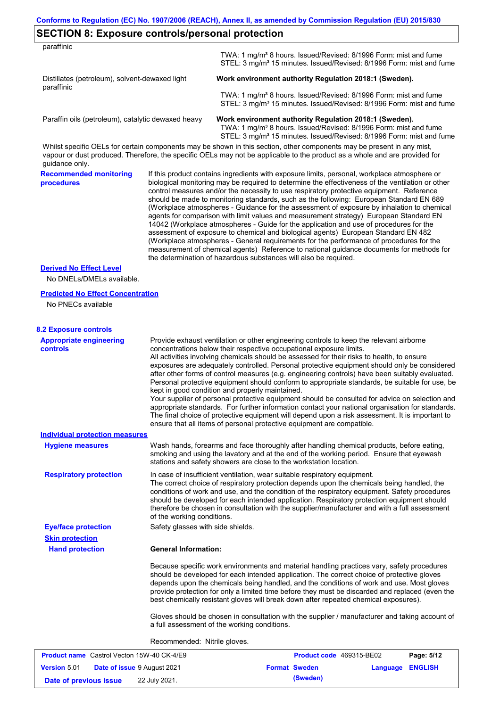| paraffinic                                                   |                                   |                                                                                                                                                                                                                                                                                                                                                                                                                                                                                                                                                                                                                                                                                                                                                                                                                                                                                                                                                                                                                            |
|--------------------------------------------------------------|-----------------------------------|----------------------------------------------------------------------------------------------------------------------------------------------------------------------------------------------------------------------------------------------------------------------------------------------------------------------------------------------------------------------------------------------------------------------------------------------------------------------------------------------------------------------------------------------------------------------------------------------------------------------------------------------------------------------------------------------------------------------------------------------------------------------------------------------------------------------------------------------------------------------------------------------------------------------------------------------------------------------------------------------------------------------------|
|                                                              |                                   | TWA: 1 mg/m <sup>3</sup> 8 hours. Issued/Revised: 8/1996 Form: mist and fume<br>STEL: 3 mg/m <sup>3</sup> 15 minutes. Issued/Revised: 8/1996 Form: mist and fume                                                                                                                                                                                                                                                                                                                                                                                                                                                                                                                                                                                                                                                                                                                                                                                                                                                           |
| Distillates (petroleum), solvent-dewaxed light<br>paraffinic |                                   | Work environment authority Regulation 2018:1 (Sweden).                                                                                                                                                                                                                                                                                                                                                                                                                                                                                                                                                                                                                                                                                                                                                                                                                                                                                                                                                                     |
|                                                              |                                   | TWA: 1 mg/m <sup>3</sup> 8 hours. Issued/Revised: 8/1996 Form: mist and fume<br>STEL: 3 mg/m <sup>3</sup> 15 minutes. Issued/Revised: 8/1996 Form: mist and fume                                                                                                                                                                                                                                                                                                                                                                                                                                                                                                                                                                                                                                                                                                                                                                                                                                                           |
| Paraffin oils (petroleum), catalytic dewaxed heavy           |                                   | Work environment authority Regulation 2018:1 (Sweden).<br>TWA: 1 mg/m <sup>3</sup> 8 hours. Issued/Revised: 8/1996 Form: mist and fume<br>STEL: 3 mg/m <sup>3</sup> 15 minutes. Issued/Revised: 8/1996 Form: mist and fume                                                                                                                                                                                                                                                                                                                                                                                                                                                                                                                                                                                                                                                                                                                                                                                                 |
| guidance only.                                               |                                   | Whilst specific OELs for certain components may be shown in this section, other components may be present in any mist,<br>vapour or dust produced. Therefore, the specific OELs may not be applicable to the product as a whole and are provided for                                                                                                                                                                                                                                                                                                                                                                                                                                                                                                                                                                                                                                                                                                                                                                       |
| <b>Recommended monitoring</b><br>procedures                  |                                   | If this product contains ingredients with exposure limits, personal, workplace atmosphere or<br>biological monitoring may be required to determine the effectiveness of the ventilation or other<br>control measures and/or the necessity to use respiratory protective equipment. Reference<br>should be made to monitoring standards, such as the following: European Standard EN 689<br>(Workplace atmospheres - Guidance for the assessment of exposure by inhalation to chemical<br>agents for comparison with limit values and measurement strategy) European Standard EN<br>14042 (Workplace atmospheres - Guide for the application and use of procedures for the<br>assessment of exposure to chemical and biological agents) European Standard EN 482<br>(Workplace atmospheres - General requirements for the performance of procedures for the<br>measurement of chemical agents) Reference to national guidance documents for methods for<br>the determination of hazardous substances will also be required. |
| <b>Derived No Effect Level</b><br>No DNELs/DMELs available.  |                                   |                                                                                                                                                                                                                                                                                                                                                                                                                                                                                                                                                                                                                                                                                                                                                                                                                                                                                                                                                                                                                            |
|                                                              |                                   |                                                                                                                                                                                                                                                                                                                                                                                                                                                                                                                                                                                                                                                                                                                                                                                                                                                                                                                                                                                                                            |
| <b>Predicted No Effect Concentration</b>                     |                                   |                                                                                                                                                                                                                                                                                                                                                                                                                                                                                                                                                                                                                                                                                                                                                                                                                                                                                                                                                                                                                            |
| No PNECs available                                           |                                   |                                                                                                                                                                                                                                                                                                                                                                                                                                                                                                                                                                                                                                                                                                                                                                                                                                                                                                                                                                                                                            |
| <b>8.2 Exposure controls</b>                                 |                                   |                                                                                                                                                                                                                                                                                                                                                                                                                                                                                                                                                                                                                                                                                                                                                                                                                                                                                                                                                                                                                            |
| <b>Appropriate engineering</b><br>controls                   |                                   | Provide exhaust ventilation or other engineering controls to keep the relevant airborne<br>concentrations below their respective occupational exposure limits.<br>All activities involving chemicals should be assessed for their risks to health, to ensure<br>exposures are adequately controlled. Personal protective equipment should only be considered<br>after other forms of control measures (e.g. engineering controls) have been suitably evaluated.<br>Personal protective equipment should conform to appropriate standards, be suitable for use, be<br>kept in good condition and properly maintained.<br>Your supplier of personal protective equipment should be consulted for advice on selection and<br>appropriate standards. For further information contact your national organisation for standards.<br>The final choice of protective equipment will depend upon a risk assessment. It is important to<br>ensure that all items of personal protective equipment are compatible.                    |
| <b>Individual protection measures</b>                        |                                   |                                                                                                                                                                                                                                                                                                                                                                                                                                                                                                                                                                                                                                                                                                                                                                                                                                                                                                                                                                                                                            |
| <b>Hygiene measures</b>                                      |                                   | Wash hands, forearms and face thoroughly after handling chemical products, before eating,<br>smoking and using the lavatory and at the end of the working period. Ensure that eyewash<br>stations and safety showers are close to the workstation location.                                                                                                                                                                                                                                                                                                                                                                                                                                                                                                                                                                                                                                                                                                                                                                |
| <b>Respiratory protection</b>                                | of the working conditions.        | In case of insufficient ventilation, wear suitable respiratory equipment.<br>The correct choice of respiratory protection depends upon the chemicals being handled, the<br>conditions of work and use, and the condition of the respiratory equipment. Safety procedures<br>should be developed for each intended application. Respiratory protection equipment should<br>therefore be chosen in consultation with the supplier/manufacturer and with a full assessment                                                                                                                                                                                                                                                                                                                                                                                                                                                                                                                                                    |
| <b>Eye/face protection</b><br><b>Skin protection</b>         | Safety glasses with side shields. |                                                                                                                                                                                                                                                                                                                                                                                                                                                                                                                                                                                                                                                                                                                                                                                                                                                                                                                                                                                                                            |
| <b>Hand protection</b>                                       | <b>General Information:</b>       |                                                                                                                                                                                                                                                                                                                                                                                                                                                                                                                                                                                                                                                                                                                                                                                                                                                                                                                                                                                                                            |
|                                                              |                                   | Because specific work environments and material handling practices vary, safety procedures<br>should be developed for each intended application. The correct choice of protective gloves<br>depends upon the chemicals being handled, and the conditions of work and use. Most gloves<br>provide protection for only a limited time before they must be discarded and replaced (even the<br>best chemically resistant gloves will break down after repeated chemical exposures).                                                                                                                                                                                                                                                                                                                                                                                                                                                                                                                                           |
|                                                              |                                   | Gloves should be chosen in consultation with the supplier / manufacturer and taking account of<br>a full assessment of the working conditions.                                                                                                                                                                                                                                                                                                                                                                                                                                                                                                                                                                                                                                                                                                                                                                                                                                                                             |
|                                                              |                                   |                                                                                                                                                                                                                                                                                                                                                                                                                                                                                                                                                                                                                                                                                                                                                                                                                                                                                                                                                                                                                            |
|                                                              | Recommended: Nitrile gloves.      |                                                                                                                                                                                                                                                                                                                                                                                                                                                                                                                                                                                                                                                                                                                                                                                                                                                                                                                                                                                                                            |

| <b>Product name</b> Castrol Vecton 15W-40 CK-4/E9 |  |                                    | <b>Product code</b> 469315-BE02 |                         | Page: 5/12 |
|---------------------------------------------------|--|------------------------------------|---------------------------------|-------------------------|------------|
| <b>Version 5.01</b>                               |  | <b>Date of issue 9 August 2021</b> | <b>Format Sweden</b>            | <b>Language ENGLISH</b> |            |
| Date of previous issue                            |  | 22 July 2021.                      | (Sweden)                        |                         |            |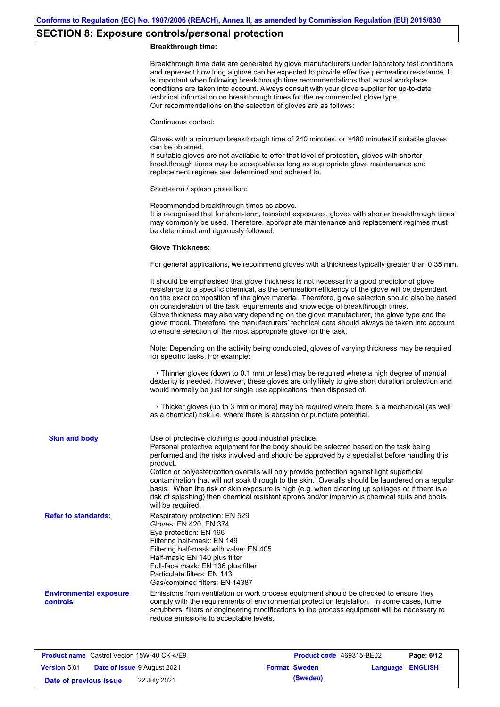# **SECTION 8: Exposure controls/personal protection**

### **Breakthrough time:**

|                                           | Breakthrough time data are generated by glove manufacturers under laboratory test conditions<br>and represent how long a glove can be expected to provide effective permeation resistance. It<br>is important when following breakthrough time recommendations that actual workplace<br>conditions are taken into account. Always consult with your glove supplier for up-to-date<br>technical information on breakthrough times for the recommended glove type.<br>Our recommendations on the selection of gloves are as follows:                                                                                                                               |
|-------------------------------------------|------------------------------------------------------------------------------------------------------------------------------------------------------------------------------------------------------------------------------------------------------------------------------------------------------------------------------------------------------------------------------------------------------------------------------------------------------------------------------------------------------------------------------------------------------------------------------------------------------------------------------------------------------------------|
|                                           | Continuous contact:                                                                                                                                                                                                                                                                                                                                                                                                                                                                                                                                                                                                                                              |
|                                           | Gloves with a minimum breakthrough time of 240 minutes, or >480 minutes if suitable gloves<br>can be obtained.<br>If suitable gloves are not available to offer that level of protection, gloves with shorter<br>breakthrough times may be acceptable as long as appropriate glove maintenance and<br>replacement regimes are determined and adhered to.                                                                                                                                                                                                                                                                                                         |
|                                           | Short-term / splash protection:                                                                                                                                                                                                                                                                                                                                                                                                                                                                                                                                                                                                                                  |
|                                           | Recommended breakthrough times as above.<br>It is recognised that for short-term, transient exposures, gloves with shorter breakthrough times<br>may commonly be used. Therefore, appropriate maintenance and replacement regimes must<br>be determined and rigorously followed.                                                                                                                                                                                                                                                                                                                                                                                 |
|                                           | <b>Glove Thickness:</b>                                                                                                                                                                                                                                                                                                                                                                                                                                                                                                                                                                                                                                          |
|                                           | For general applications, we recommend gloves with a thickness typically greater than 0.35 mm.                                                                                                                                                                                                                                                                                                                                                                                                                                                                                                                                                                   |
|                                           | It should be emphasised that glove thickness is not necessarily a good predictor of glove<br>resistance to a specific chemical, as the permeation efficiency of the glove will be dependent<br>on the exact composition of the glove material. Therefore, glove selection should also be based<br>on consideration of the task requirements and knowledge of breakthrough times.<br>Glove thickness may also vary depending on the glove manufacturer, the glove type and the<br>glove model. Therefore, the manufacturers' technical data should always be taken into account<br>to ensure selection of the most appropriate glove for the task.                |
|                                           | Note: Depending on the activity being conducted, gloves of varying thickness may be required<br>for specific tasks. For example:                                                                                                                                                                                                                                                                                                                                                                                                                                                                                                                                 |
|                                           | • Thinner gloves (down to 0.1 mm or less) may be required where a high degree of manual<br>dexterity is needed. However, these gloves are only likely to give short duration protection and<br>would normally be just for single use applications, then disposed of.                                                                                                                                                                                                                                                                                                                                                                                             |
|                                           | • Thicker gloves (up to 3 mm or more) may be required where there is a mechanical (as well<br>as a chemical) risk i.e. where there is abrasion or puncture potential.                                                                                                                                                                                                                                                                                                                                                                                                                                                                                            |
| <b>Skin and body</b>                      | Use of protective clothing is good industrial practice.<br>Personal protective equipment for the body should be selected based on the task being<br>performed and the risks involved and should be approved by a specialist before handling this<br>product.<br>Cotton or polyester/cotton overalls will only provide protection against light superficial<br>contamination that will not soak through to the skin. Overalls should be laundered on a regular<br>basis. When the risk of skin exposure is high (e.g. when cleaning up spillages or if there is a<br>risk of splashing) then chemical resistant aprons and/or impervious chemical suits and boots |
| <b>Refer to standards:</b>                | will be required.<br>Respiratory protection: EN 529<br>Gloves: EN 420, EN 374<br>Eye protection: EN 166<br>Filtering half-mask: EN 149<br>Filtering half-mask with valve: EN 405<br>Half-mask: EN 140 plus filter<br>Full-face mask: EN 136 plus filter<br>Particulate filters: EN 143<br>Gas/combined filters: EN 14387                                                                                                                                                                                                                                                                                                                                         |
| <b>Environmental exposure</b><br>controls | Emissions from ventilation or work process equipment should be checked to ensure they<br>comply with the requirements of environmental protection legislation. In some cases, fume<br>scrubbers, filters or engineering modifications to the process equipment will be necessary to<br>reduce emissions to acceptable levels.                                                                                                                                                                                                                                                                                                                                    |
|                                           |                                                                                                                                                                                                                                                                                                                                                                                                                                                                                                                                                                                                                                                                  |

| <b>Product name</b> Castrol Vecton 15W-40 CK-4/E9 |  |                                    | <b>Product code</b> 469315-BE02 |                         | Page: 6/12 |
|---------------------------------------------------|--|------------------------------------|---------------------------------|-------------------------|------------|
| <b>Version 5.01</b>                               |  | <b>Date of issue 9 August 2021</b> | <b>Format Sweden</b>            | <b>Language ENGLISH</b> |            |
| Date of previous issue                            |  | 22 July 2021.                      | (Sweden)                        |                         |            |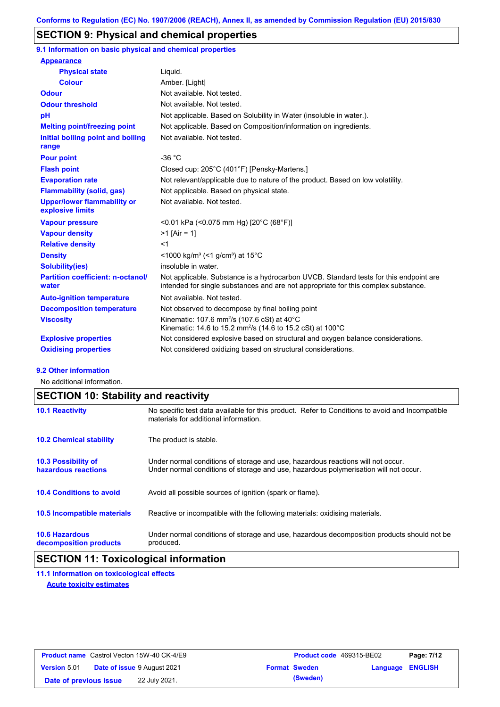### **SECTION 9: Physical and chemical properties**

**9.1 Information on basic physical and chemical properties**

| <b>Appearance</b>                                      |                                                                                                                                                                             |
|--------------------------------------------------------|-----------------------------------------------------------------------------------------------------------------------------------------------------------------------------|
| <b>Physical state</b>                                  | Liquid.                                                                                                                                                                     |
| <b>Colour</b>                                          | Amber. [Light]                                                                                                                                                              |
| <b>Odour</b>                                           | Not available. Not tested.                                                                                                                                                  |
| <b>Odour threshold</b>                                 | Not available. Not tested.                                                                                                                                                  |
| pH                                                     | Not applicable. Based on Solubility in Water (insoluble in water.).                                                                                                         |
| <b>Melting point/freezing point</b>                    | Not applicable. Based on Composition/information on ingredients.                                                                                                            |
| Initial boiling point and boiling<br>range             | Not available. Not tested.                                                                                                                                                  |
| <b>Pour point</b>                                      | $-36 °C$                                                                                                                                                                    |
| <b>Flash point</b>                                     | Closed cup: 205°C (401°F) [Pensky-Martens.]                                                                                                                                 |
| <b>Evaporation rate</b>                                | Not relevant/applicable due to nature of the product. Based on low volatility.                                                                                              |
| <b>Flammability (solid, gas)</b>                       | Not applicable. Based on physical state.                                                                                                                                    |
| <b>Upper/lower flammability or</b><br>explosive limits | Not available. Not tested.                                                                                                                                                  |
| <b>Vapour pressure</b>                                 | <0.01 kPa (<0.075 mm Hg) [20°C (68°F)]                                                                                                                                      |
| <b>Vapour density</b>                                  | $>1$ [Air = 1]                                                                                                                                                              |
| <b>Relative density</b>                                | $<$ 1                                                                                                                                                                       |
| <b>Density</b>                                         | $\leq$ 1000 kg/m <sup>3</sup> ( $\leq$ 1 g/cm <sup>3</sup> ) at 15 <sup>°</sup> C                                                                                           |
| <b>Solubility(ies)</b>                                 | insoluble in water.                                                                                                                                                         |
| <b>Partition coefficient: n-octanol/</b><br>water      | Not applicable. Substance is a hydrocarbon UVCB. Standard tests for this endpoint are<br>intended for single substances and are not appropriate for this complex substance. |
| <b>Auto-ignition temperature</b>                       | Not available. Not tested.                                                                                                                                                  |
| <b>Decomposition temperature</b>                       | Not observed to decompose by final boiling point                                                                                                                            |
| <b>Viscosity</b>                                       | Kinematic: 107.6 mm <sup>2</sup> /s (107.6 cSt) at $40^{\circ}$ C<br>Kinematic: 14.6 to 15.2 mm <sup>2</sup> /s (14.6 to 15.2 cSt) at 100°C                                 |
| <b>Explosive properties</b>                            | Not considered explosive based on structural and oxygen balance considerations.                                                                                             |
| <b>Oxidising properties</b>                            | Not considered oxidizing based on structural considerations.                                                                                                                |

#### **9.2 Other information**

No additional information.

## **SECTION 10: Stability and reactivity**

| <b>10.1 Reactivity</b>                            | No specific test data available for this product. Refer to Conditions to avoid and Incompatible<br>materials for additional information.                                |
|---------------------------------------------------|-------------------------------------------------------------------------------------------------------------------------------------------------------------------------|
| <b>10.2 Chemical stability</b>                    | The product is stable.                                                                                                                                                  |
| <b>10.3 Possibility of</b><br>hazardous reactions | Under normal conditions of storage and use, hazardous reactions will not occur.<br>Under normal conditions of storage and use, hazardous polymerisation will not occur. |
| <b>10.4 Conditions to avoid</b>                   | Avoid all possible sources of ignition (spark or flame).                                                                                                                |
| <b>10.5 Incompatible materials</b>                | Reactive or incompatible with the following materials: oxidising materials.                                                                                             |
| <b>10.6 Hazardous</b><br>decomposition products   | Under normal conditions of storage and use, hazardous decomposition products should not be<br>produced.                                                                 |

### **SECTION 11: Toxicological information**

**11.1 Information on toxicological effects Acute toxicity estimates**

|                        | <b>Product name</b> Castrol Vecton 15W-40 CK-4/E9 | <b>Product code</b> 469315-BE02 |                  | Page: 7/12 |
|------------------------|---------------------------------------------------|---------------------------------|------------------|------------|
| <b>Version 5.01</b>    | <b>Date of issue 9 August 2021</b>                | <b>Format Sweden</b>            | Language ENGLISH |            |
| Date of previous issue | 22 July 2021.                                     | (Sweden)                        |                  |            |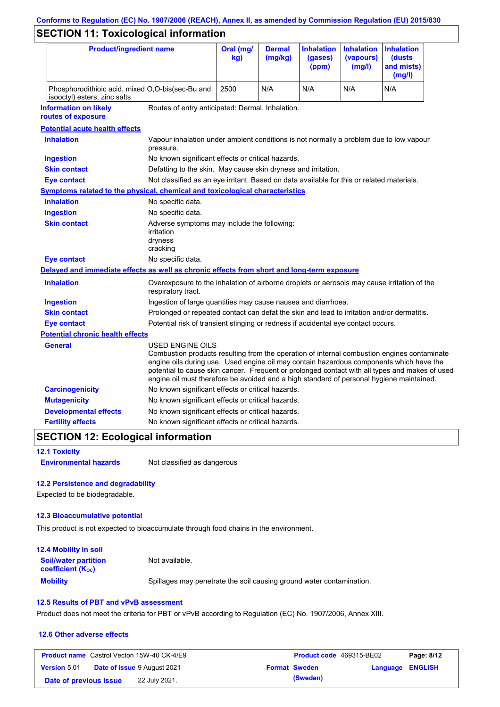# **Conforms to Regulation (EC) No. 1907/2006 (REACH), Annex II, as amended by Commission Regulation (EU) 2015/830**

# **SECTION 11: Toxicological information**

| <b>Product/ingredient name</b>                                                             |                                                                                                                                                                                                         | Oral (mg/<br>kg) | <b>Dermal</b><br>(mg/kg) | <b>Inhalation</b><br>(gases)<br>(ppm) | <b>Inhalation</b><br>(vapours)<br>(mg/l) | <b>Inhalation</b><br>(dusts)<br>and mists)<br>(mg/l)                                                                                                                                          |
|--------------------------------------------------------------------------------------------|---------------------------------------------------------------------------------------------------------------------------------------------------------------------------------------------------------|------------------|--------------------------|---------------------------------------|------------------------------------------|-----------------------------------------------------------------------------------------------------------------------------------------------------------------------------------------------|
| isooctyl) esters, zinc salts                                                               | Phosphorodithioic acid, mixed O,O-bis(sec-Bu and                                                                                                                                                        |                  | N/A                      | N/A                                   | N/A                                      | N/A                                                                                                                                                                                           |
| <b>Information on likely</b><br>routes of exposure                                         | Routes of entry anticipated: Dermal, Inhalation.                                                                                                                                                        |                  |                          |                                       |                                          |                                                                                                                                                                                               |
| <b>Potential acute health effects</b>                                                      |                                                                                                                                                                                                         |                  |                          |                                       |                                          |                                                                                                                                                                                               |
| <b>Inhalation</b>                                                                          | Vapour inhalation under ambient conditions is not normally a problem due to low vapour<br>pressure.                                                                                                     |                  |                          |                                       |                                          |                                                                                                                                                                                               |
| <b>Ingestion</b>                                                                           | No known significant effects or critical hazards.                                                                                                                                                       |                  |                          |                                       |                                          |                                                                                                                                                                                               |
| <b>Skin contact</b>                                                                        | Defatting to the skin. May cause skin dryness and irritation.                                                                                                                                           |                  |                          |                                       |                                          |                                                                                                                                                                                               |
| <b>Eye contact</b>                                                                         | Not classified as an eye irritant. Based on data available for this or related materials.                                                                                                               |                  |                          |                                       |                                          |                                                                                                                                                                                               |
| <b>Symptoms related to the physical, chemical and toxicological characteristics</b>        |                                                                                                                                                                                                         |                  |                          |                                       |                                          |                                                                                                                                                                                               |
| <b>Inhalation</b>                                                                          | No specific data.                                                                                                                                                                                       |                  |                          |                                       |                                          |                                                                                                                                                                                               |
| <b>Ingestion</b>                                                                           | No specific data.                                                                                                                                                                                       |                  |                          |                                       |                                          |                                                                                                                                                                                               |
| <b>Skin contact</b>                                                                        | Adverse symptoms may include the following:<br>irritation<br>dryness<br>cracking                                                                                                                        |                  |                          |                                       |                                          |                                                                                                                                                                                               |
| <b>Eye contact</b>                                                                         | No specific data.                                                                                                                                                                                       |                  |                          |                                       |                                          |                                                                                                                                                                                               |
| Delayed and immediate effects as well as chronic effects from short and long-term exposure |                                                                                                                                                                                                         |                  |                          |                                       |                                          |                                                                                                                                                                                               |
| <b>Inhalation</b>                                                                          | Overexposure to the inhalation of airborne droplets or aerosols may cause irritation of the<br>respiratory tract.                                                                                       |                  |                          |                                       |                                          |                                                                                                                                                                                               |
| <b>Ingestion</b>                                                                           | Ingestion of large quantities may cause nausea and diarrhoea.                                                                                                                                           |                  |                          |                                       |                                          |                                                                                                                                                                                               |
| <b>Skin contact</b>                                                                        | Prolonged or repeated contact can defat the skin and lead to irritation and/or dermatitis.                                                                                                              |                  |                          |                                       |                                          |                                                                                                                                                                                               |
| <b>Eye contact</b>                                                                         | Potential risk of transient stinging or redness if accidental eye contact occurs.                                                                                                                       |                  |                          |                                       |                                          |                                                                                                                                                                                               |
| <b>Potential chronic health effects</b>                                                    |                                                                                                                                                                                                         |                  |                          |                                       |                                          |                                                                                                                                                                                               |
| General                                                                                    | USED ENGINE OILS<br>engine oils during use. Used engine oil may contain hazardous components which have the<br>engine oil must therefore be avoided and a high standard of personal hygiene maintained. |                  |                          |                                       |                                          | Combustion products resulting from the operation of internal combustion engines contaminate<br>potential to cause skin cancer. Frequent or prolonged contact with all types and makes of used |
| <b>Carcinogenicity</b>                                                                     | No known significant effects or critical hazards.                                                                                                                                                       |                  |                          |                                       |                                          |                                                                                                                                                                                               |
| <b>Mutagenicity</b>                                                                        | No known significant effects or critical hazards.                                                                                                                                                       |                  |                          |                                       |                                          |                                                                                                                                                                                               |
| <b>Developmental effects</b>                                                               | No known significant effects or critical hazards.                                                                                                                                                       |                  |                          |                                       |                                          |                                                                                                                                                                                               |
| <b>Fertility effects</b>                                                                   | No known significant effects or critical hazards.                                                                                                                                                       |                  |                          |                                       |                                          |                                                                                                                                                                                               |

### **SECTION 12: Ecological information**

**12.1 Toxicity**

**Environmental hazards** Not classified as dangerous

### **12.2 Persistence and degradability**

Expected to be biodegradable.

#### **12.3 Bioaccumulative potential**

This product is not expected to bioaccumulate through food chains in the environment.

| <b>12.4 Mobility in soil</b>                                         |                                                                      |
|----------------------------------------------------------------------|----------------------------------------------------------------------|
| <b>Soil/water partition</b><br><b>coefficient</b> (K <sub>oc</sub> ) | Not available.                                                       |
| <b>Mobility</b>                                                      | Spillages may penetrate the soil causing ground water contamination. |

### **12.5 Results of PBT and vPvB assessment**

Product does not meet the criteria for PBT or vPvB according to Regulation (EC) No. 1907/2006, Annex XIII.

#### **12.6 Other adverse effects**

| <b>Product name</b> Castrol Vecton 15W-40 CK-4/E9 |  |                                    | <b>Product code</b> 469315-BE02 | Page: 8/12           |                         |  |
|---------------------------------------------------|--|------------------------------------|---------------------------------|----------------------|-------------------------|--|
| <b>Version 5.01</b>                               |  | <b>Date of issue 9 August 2021</b> |                                 | <b>Format Sweden</b> | <b>Language ENGLISH</b> |  |
| Date of previous issue                            |  | 22 July 2021.                      |                                 | (Sweden)             |                         |  |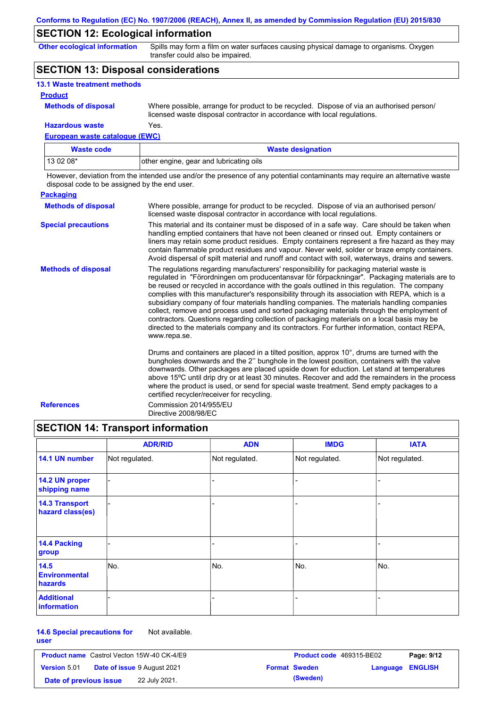### **SECTION 12: Ecological information**

**Other ecological information**

Spills may form a film on water surfaces causing physical damage to organisms. Oxygen transfer could also be impaired.

### **SECTION 13: Disposal considerations**

| <b>13.1 Waste treatment methods</b> |                                                                                                                                                                      |
|-------------------------------------|----------------------------------------------------------------------------------------------------------------------------------------------------------------------|
| <b>Product</b>                      |                                                                                                                                                                      |
| <b>Methods of disposal</b>          | Where possible, arrange for product to be recycled. Dispose of via an authorised person/<br>licensed waste disposal contractor in accordance with local regulations. |
| <b>Hazardous waste</b>              | Yes.                                                                                                                                                                 |

#### **European waste catalogue (EWC)**

| Waste code | <b>Waste designation</b>                |
|------------|-----------------------------------------|
| 13 02 08*  | other engine, gear and lubricating oils |

However, deviation from the intended use and/or the presence of any potential contaminants may require an alternative waste disposal code to be assigned by the end user.

| <b>Packaging</b>           |                                                                                                                                                                                                                                                                                                                                                                                                                                                                                                                                                                                                                                                                                                                                                                                                   |
|----------------------------|---------------------------------------------------------------------------------------------------------------------------------------------------------------------------------------------------------------------------------------------------------------------------------------------------------------------------------------------------------------------------------------------------------------------------------------------------------------------------------------------------------------------------------------------------------------------------------------------------------------------------------------------------------------------------------------------------------------------------------------------------------------------------------------------------|
| <b>Methods of disposal</b> | Where possible, arrange for product to be recycled. Dispose of via an authorised person/<br>licensed waste disposal contractor in accordance with local regulations.                                                                                                                                                                                                                                                                                                                                                                                                                                                                                                                                                                                                                              |
| <b>Special precautions</b> | This material and its container must be disposed of in a safe way. Care should be taken when<br>handling emptied containers that have not been cleaned or rinsed out. Empty containers or<br>liners may retain some product residues. Empty containers represent a fire hazard as they may<br>contain flammable product residues and vapour. Never weld, solder or braze empty containers.<br>Avoid dispersal of spilt material and runoff and contact with soil, waterways, drains and sewers.                                                                                                                                                                                                                                                                                                   |
| <b>Methods of disposal</b> | The regulations regarding manufacturers' responsibility for packaging material waste is<br>regulated in "Förordningen om producentansvar för förpackningar". Packaging materials are to<br>be reused or recycled in accordance with the goals outlined in this regulation. The company<br>complies with this manufacturer's responsibility through its association with REPA, which is a<br>subsidiary company of four materials handling companies. The materials handling companies<br>collect, remove and process used and sorted packaging materials through the employment of<br>contractors. Questions regarding collection of packaging materials on a local basis may be<br>directed to the materials company and its contractors. For further information, contact REPA,<br>www.repa.se. |
|                            | Drums and containers are placed in a tilted position, approx $10^{\circ}$ , drums are turned with the<br>bungholes downwards and the 2" bunghole in the lowest position, containers with the valve<br>downwards. Other packages are placed upside down for eduction. Let stand at temperatures<br>above 15°C until drip dry or at least 30 minutes. Recover and add the remainders in the process<br>where the product is used, or send for special waste treatment. Send empty packages to a<br>certified recycler/receiver for recycling.                                                                                                                                                                                                                                                       |
| <b>References</b>          | Commission 2014/955/EU<br>Directive 2008/98/EC                                                                                                                                                                                                                                                                                                                                                                                                                                                                                                                                                                                                                                                                                                                                                    |

### **SECTION 14: Transport information**

|                                           | <b>ADR/RID</b> | <b>ADN</b>     | <b>IMDG</b>    | <b>IATA</b>    |
|-------------------------------------------|----------------|----------------|----------------|----------------|
| 14.1 UN number                            | Not regulated. | Not regulated. | Not regulated. | Not regulated. |
| 14.2 UN proper<br>shipping name           |                |                |                |                |
| <b>14.3 Transport</b><br>hazard class(es) |                |                | -              |                |
| 14.4 Packing<br>group                     |                |                | -              |                |
| 14.5<br><b>Environmental</b><br>hazards   | No.            | No.            | No.            | No.            |
| <b>Additional</b><br><b>information</b>   |                |                | ۰              |                |

#### **14.6 Special precautions for**  Not available.

**user**

| <b>Product name</b> Castrol Vecton 15W-40 CK-4/E9 |  |                                    | <b>Product code</b> 469315-BE02 |                      | Page: 9/12       |  |
|---------------------------------------------------|--|------------------------------------|---------------------------------|----------------------|------------------|--|
| <b>Version 5.01</b>                               |  | <b>Date of issue 9 August 2021</b> |                                 | <b>Format Sweden</b> | Language ENGLISH |  |
| Date of previous issue                            |  | 22 July 2021.                      |                                 | (Sweden)             |                  |  |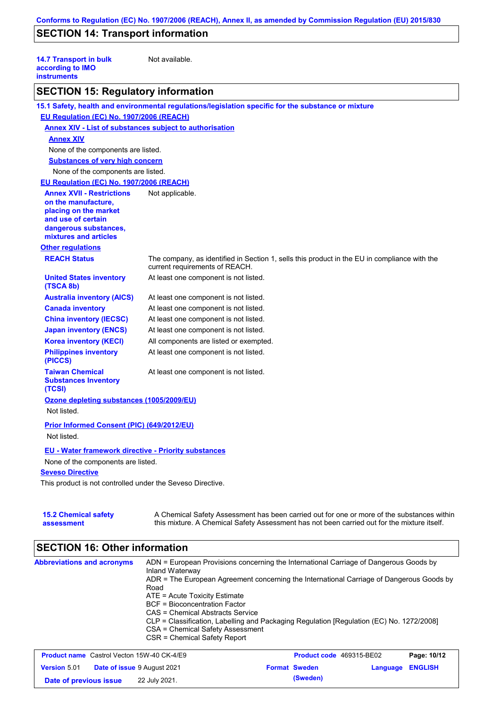# **SECTION 14: Transport information**

| <b>14.7 Transport in bulk</b><br>according to IMO<br><b>instruments</b> | Not available.                                                                                                                 |
|-------------------------------------------------------------------------|--------------------------------------------------------------------------------------------------------------------------------|
| <b>SECTION 15: Regulatory information</b>                               |                                                                                                                                |
|                                                                         | 15.1 Safety, health and environmental regulations/legislation specific for the substance or mixture                            |
| EU Regulation (EC) No. 1907/2006 (REACH)                                |                                                                                                                                |
| <b>Annex XIV - List of substances subject to authorisation</b>          |                                                                                                                                |
| <b>Annex XIV</b>                                                        |                                                                                                                                |
| None of the components are listed.                                      |                                                                                                                                |
| <b>Substances of very high concern</b>                                  |                                                                                                                                |
| None of the components are listed.                                      |                                                                                                                                |
| EU Regulation (EC) No. 1907/2006 (REACH)                                |                                                                                                                                |
| <b>Annex XVII - Restrictions</b>                                        | Not applicable.                                                                                                                |
| on the manufacture,                                                     |                                                                                                                                |
| placing on the market<br>and use of certain                             |                                                                                                                                |
| dangerous substances,                                                   |                                                                                                                                |
| mixtures and articles                                                   |                                                                                                                                |
| <b>Other regulations</b>                                                |                                                                                                                                |
| <b>REACH Status</b>                                                     | The company, as identified in Section 1, sells this product in the EU in compliance with the<br>current requirements of REACH. |
| <b>United States inventory</b><br>(TSCA 8b)                             | At least one component is not listed.                                                                                          |
| <b>Australia inventory (AICS)</b>                                       | At least one component is not listed.                                                                                          |
| <b>Canada inventory</b>                                                 | At least one component is not listed.                                                                                          |
| <b>China inventory (IECSC)</b>                                          | At least one component is not listed.                                                                                          |
| <b>Japan inventory (ENCS)</b>                                           | At least one component is not listed.                                                                                          |
| <b>Korea inventory (KECI)</b>                                           | All components are listed or exempted.                                                                                         |
| <b>Philippines inventory</b><br>(PICCS)                                 | At least one component is not listed.                                                                                          |
| <b>Taiwan Chemical</b><br><b>Substances Inventory</b><br>(TCSI)         | At least one component is not listed.                                                                                          |
| Ozone depleting substances (1005/2009/EU)                               |                                                                                                                                |
| Not listed.                                                             |                                                                                                                                |
| Prior Informed Consent (PIC) (649/2012/EU)<br>Not listed.               |                                                                                                                                |
| <b>EU - Water framework directive - Priority substances</b>             |                                                                                                                                |
| None of the components are listed.                                      |                                                                                                                                |
| <b>Seveso Directive</b>                                                 |                                                                                                                                |
| This product is not controlled under the Seveso Directive.              |                                                                                                                                |
|                                                                         |                                                                                                                                |

| <b>15.2 Chemical safety</b> | A Chemical Safety Assessment has been carried out for one or more of the substances within  |
|-----------------------------|---------------------------------------------------------------------------------------------|
| assessment                  | this mixture. A Chemical Safety Assessment has not been carried out for the mixture itself. |

# **SECTION 16: Other information**

| <b>Abbreviations and acronyms</b> | ADN = European Provisions concerning the International Carriage of Dangerous Goods by<br>Inland Waterway<br>ADR = The European Agreement concerning the International Carriage of Dangerous Goods by<br>Road<br>ATE = Acute Toxicity Estimate<br>BCF = Bioconcentration Factor<br>CAS = Chemical Abstracts Service<br>CLP = Classification, Labelling and Packaging Regulation [Regulation (EC) No. 1272/2008]<br>CSA = Chemical Safety Assessment<br>CSR = Chemical Safety Report |
|-----------------------------------|------------------------------------------------------------------------------------------------------------------------------------------------------------------------------------------------------------------------------------------------------------------------------------------------------------------------------------------------------------------------------------------------------------------------------------------------------------------------------------|
|                                   |                                                                                                                                                                                                                                                                                                                                                                                                                                                                                    |

| <b>Product name</b> Castrol Vecton 15W-40 CK-4/E9 |  | <b>Product code</b> 469315-BE02    |  | Page: 10/12          |                         |  |
|---------------------------------------------------|--|------------------------------------|--|----------------------|-------------------------|--|
| <b>Version 5.01</b>                               |  | <b>Date of issue 9 August 2021</b> |  | <b>Format Sweden</b> | <b>Language ENGLISH</b> |  |
| Date of previous issue                            |  | 22 July 2021.                      |  | (Sweden)             |                         |  |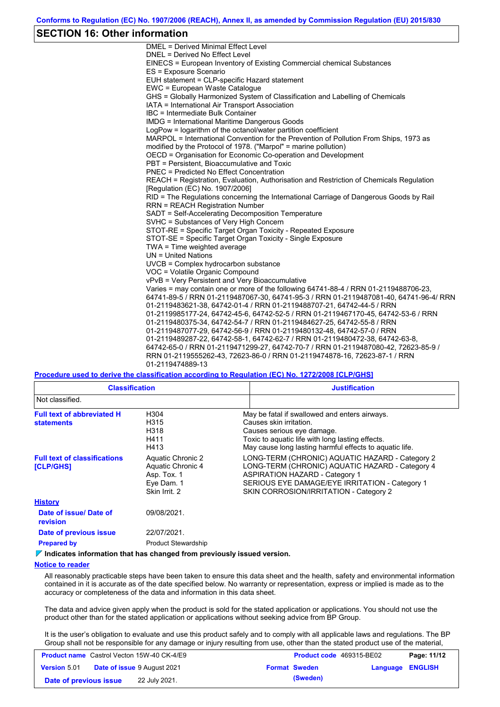### **SECTION 16: Other information**

DMEL = Derived Minimal Effect Level DNEL = Derived No Effect Level EINECS = European Inventory of Existing Commercial chemical Substances ES = Exposure Scenario EUH statement = CLP-specific Hazard statement EWC = European Waste Catalogue GHS = Globally Harmonized System of Classification and Labelling of Chemicals IATA = International Air Transport Association IBC = Intermediate Bulk Container IMDG = International Maritime Dangerous Goods LogPow = logarithm of the octanol/water partition coefficient MARPOL = International Convention for the Prevention of Pollution From Ships, 1973 as modified by the Protocol of 1978. ("Marpol" = marine pollution) OECD = Organisation for Economic Co-operation and Development PBT = Persistent, Bioaccumulative and Toxic PNEC = Predicted No Effect Concentration REACH = Registration, Evaluation, Authorisation and Restriction of Chemicals Regulation [Regulation (EC) No. 1907/2006] RID = The Regulations concerning the International Carriage of Dangerous Goods by Rail RRN = REACH Registration Number SADT = Self-Accelerating Decomposition Temperature SVHC = Substances of Very High Concern STOT-RE = Specific Target Organ Toxicity - Repeated Exposure STOT-SE = Specific Target Organ Toxicity - Single Exposure TWA = Time weighted average UN = United Nations UVCB = Complex hydrocarbon substance VOC = Volatile Organic Compound vPvB = Very Persistent and Very Bioaccumulative Varies = may contain one or more of the following 64741-88-4 / RRN 01-2119488706-23, 64741-89-5 / RRN 01-2119487067-30, 64741-95-3 / RRN 01-2119487081-40, 64741-96-4/ RRN 01-2119483621-38, 64742-01-4 / RRN 01-2119488707-21, 64742-44-5 / RRN 01-2119985177-24, 64742-45-6, 64742-52-5 / RRN 01-2119467170-45, 64742-53-6 / RRN 01-2119480375-34, 64742-54-7 / RRN 01-2119484627-25, 64742-55-8 / RRN 01-2119487077-29, 64742-56-9 / RRN 01-2119480132-48, 64742-57-0 / RRN 01-2119489287-22, 64742-58-1, 64742-62-7 / RRN 01-2119480472-38, 64742-63-8, 64742-65-0 / RRN 01-2119471299-27, 64742-70-7 / RRN 01-2119487080-42, 72623-85-9 / RRN 01-2119555262-43, 72623-86-0 / RRN 01-2119474878-16, 72623-87-1 / RRN 01-2119474889-13

#### **Procedure used to derive the classification according to Regulation (EC) No. 1272/2008 [CLP/GHS]**

| <b>Classification</b>                                   |                                                                                      | <b>Justification</b>                                                                                                                                                                                                                    |
|---------------------------------------------------------|--------------------------------------------------------------------------------------|-----------------------------------------------------------------------------------------------------------------------------------------------------------------------------------------------------------------------------------------|
| Not classified.                                         |                                                                                      |                                                                                                                                                                                                                                         |
| <b>Full text of abbreviated H</b><br><b>statements</b>  | H304<br>H315<br>H318<br>H411<br>H413                                                 | May be fatal if swallowed and enters airways.<br>Causes skin irritation.<br>Causes serious eye damage.<br>Toxic to aquatic life with long lasting effects.<br>May cause long lasting harmful effects to aguatic life.                   |
| <b>Full text of classifications</b><br><b>[CLP/GHS]</b> | Aquatic Chronic 2<br>Aquatic Chronic 4<br>Asp. Tox. 1<br>Eye Dam. 1<br>Skin Irrit. 2 | LONG-TERM (CHRONIC) AQUATIC HAZARD - Category 2<br>LONG-TERM (CHRONIC) AQUATIC HAZARD - Category 4<br><b>ASPIRATION HAZARD - Category 1</b><br>SERIOUS EYE DAMAGE/EYE IRRITATION - Category 1<br>SKIN CORROSION/IRRITATION - Category 2 |
| <b>History</b>                                          |                                                                                      |                                                                                                                                                                                                                                         |
| Date of issue/Date of<br><b>revision</b>                | 09/08/2021.                                                                          |                                                                                                                                                                                                                                         |
| Date of previous issue                                  | 22/07/2021.                                                                          |                                                                                                                                                                                                                                         |
| <b>Prepared by</b>                                      | <b>Product Stewardship</b>                                                           |                                                                                                                                                                                                                                         |

#### **Indicates information that has changed from previously issued version.**

#### **Notice to reader**

All reasonably practicable steps have been taken to ensure this data sheet and the health, safety and environmental information contained in it is accurate as of the date specified below. No warranty or representation, express or implied is made as to the accuracy or completeness of the data and information in this data sheet.

The data and advice given apply when the product is sold for the stated application or applications. You should not use the product other than for the stated application or applications without seeking advice from BP Group.

It is the user's obligation to evaluate and use this product safely and to comply with all applicable laws and regulations. The BP Group shall not be responsible for any damage or injury resulting from use, other than the stated product use of the material,

| <b>Product name</b> Castrol Vecton 15W-40 CK-4/E9 |  | <b>Product code</b> 469315-BE02    |  | Page: 11/12          |                  |  |
|---------------------------------------------------|--|------------------------------------|--|----------------------|------------------|--|
| <b>Version 5.01</b>                               |  | <b>Date of issue 9 August 2021</b> |  | <b>Format Sweden</b> | Language ENGLISH |  |
| Date of previous issue                            |  | 22 July 2021.                      |  | (Sweden)             |                  |  |